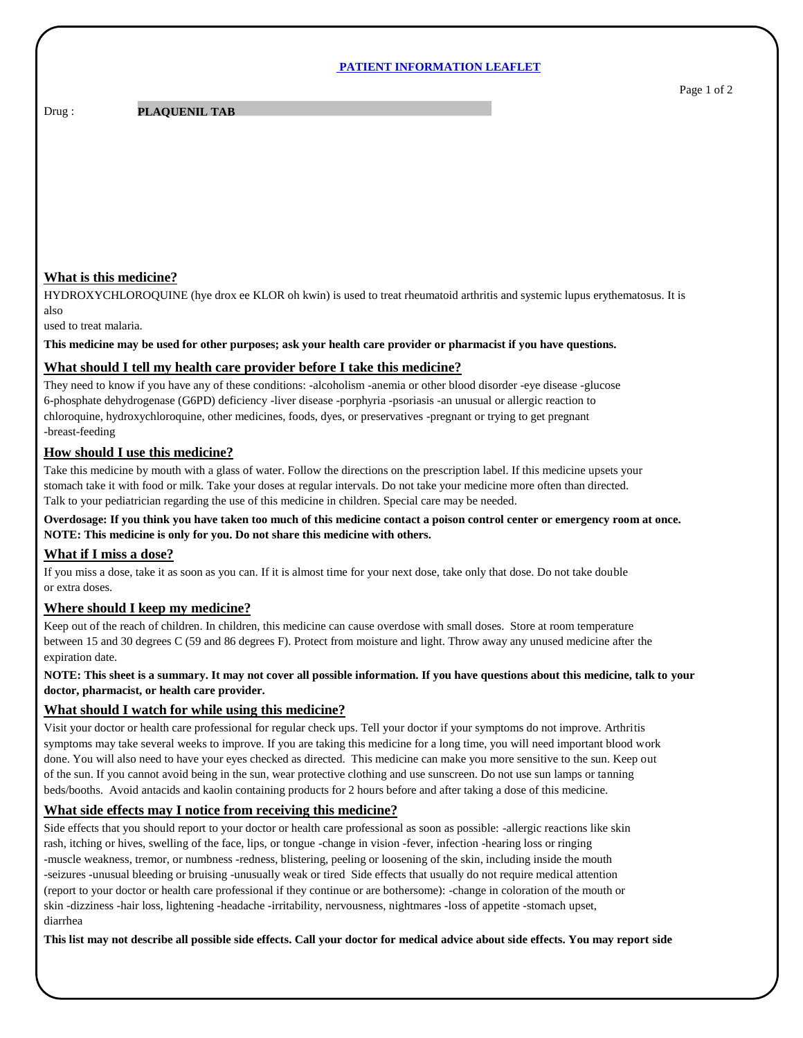#### **PATIENT INFORMATION LEAFLET**

Drug :

#### **PLAQUENIL TAB**

## **What is this medicine?**

HYDROXYCHLOROQUINE (hye drox ee KLOR oh kwin) is used to treat rheumatoid arthritis and systemic lupus erythematosus. It is also

used to treat malaria.

**This medicine may be used for other purposes; ask your health care provider or pharmacist if you have questions.**

## **What should I tell my health care provider before I take this medicine?**

They need to know if you have any of these conditions: -alcoholism -anemia or other blood disorder -eye disease -glucose 6-phosphate dehydrogenase (G6PD) deficiency -liver disease -porphyria -psoriasis -an unusual or allergic reaction to chloroquine, hydroxychloroquine, other medicines, foods, dyes, or preservatives -pregnant or trying to get pregnant -breast-feeding

## **How should I use this medicine?**

Take this medicine by mouth with a glass of water. Follow the directions on the prescription label. If this medicine upsets your stomach take it with food or milk. Take your doses at regular intervals. Do not take your medicine more often than directed. Talk to your pediatrician regarding the use of this medicine in children. Special care may be needed.

**Overdosage: If you think you have taken too much of this medicine contact a poison control center or emergency room at once. NOTE: This medicine is only for you. Do not share this medicine with others.**

#### **What if I miss a dose?**

If you miss a dose, take it as soon as you can. If it is almost time for your next dose, take only that dose. Do not take double or extra doses.

#### **Where should I keep my medicine?**

Keep out of the reach of children. In children, this medicine can cause overdose with small doses. Store at room temperature between 15 and 30 degrees C (59 and 86 degrees F). Protect from moisture and light. Throw away any unused medicine after the expiration date.

**NOTE: This sheet is a summary. It may not cover all possible information. If you have questions about this medicine, talk to your doctor, pharmacist, or health care provider.**

## **What should I watch for while using this medicine?**

Visit your doctor or health care professional for regular check ups. Tell your doctor if your symptoms do not improve. Arthritis symptoms may take several weeks to improve. If you are taking this medicine for a long time, you will need important blood work done. You will also need to have your eyes checked as directed. This medicine can make you more sensitive to the sun. Keep out of the sun. If you cannot avoid being in the sun, wear protective clothing and use sunscreen. Do not use sun lamps or tanning beds/booths. Avoid antacids and kaolin containing products for 2 hours before and after taking a dose of this medicine.

## **What side effects may I notice from receiving this medicine?**

Side effects that you should report to your doctor or health care professional as soon as possible: -allergic reactions like skin rash, itching or hives, swelling of the face, lips, or tongue -change in vision -fever, infection -hearing loss or ringing -muscle weakness, tremor, or numbness -redness, blistering, peeling or loosening of the skin, including inside the mouth -seizures -unusual bleeding or bruising -unusually weak or tired Side effects that usually do not require medical attention (report to your doctor or health care professional if they continue or are bothersome): -change in coloration of the mouth or skin -dizziness -hair loss, lightening -headache -irritability, nervousness, nightmares -loss of appetite -stomach upset, diarrhea

**This list may not describe all possible side effects. Call your doctor for medical advice about side effects. You may report side**

Page 1 of 2